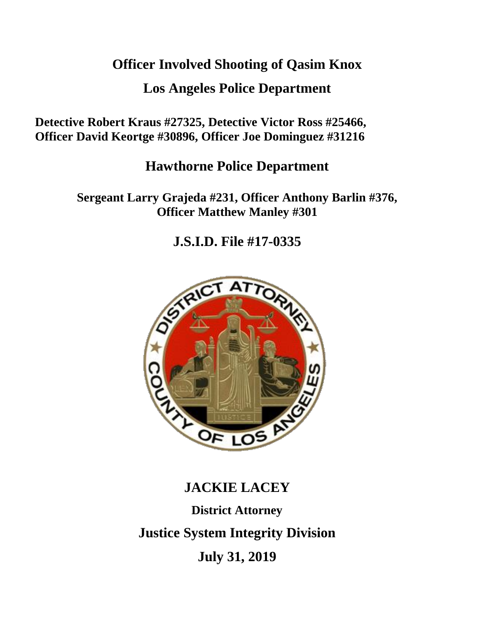# **Officer Involved Shooting of Qasim Knox**

# **Los Angeles Police Department**

**Detective Robert Kraus #27325, Detective Victor Ross #25466, Officer David Keortge #30896, Officer Joe Dominguez #31216**

# **Hawthorne Police Department**

**Sergeant Larry Grajeda #231, Officer Anthony Barlin #376, Officer Matthew Manley #301**

**J.S.I.D. File #17-0335**



# **JACKIE LACEY District Attorney**

**Justice System Integrity Division**

**July 31, 2019**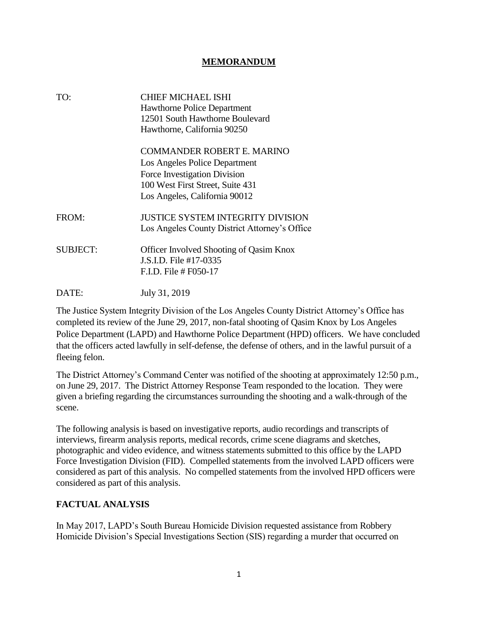#### **MEMORANDUM**

| TO:             | <b>CHIEF MICHAEL ISHI</b><br><b>Hawthorne Police Department</b><br>12501 South Hawthorne Boulevard<br>Hawthorne, California 90250                                |
|-----------------|------------------------------------------------------------------------------------------------------------------------------------------------------------------|
|                 | COMMANDER ROBERT E. MARINO<br>Los Angeles Police Department<br>Force Investigation Division<br>100 West First Street, Suite 431<br>Los Angeles, California 90012 |
| FROM:           | JUSTICE SYSTEM INTEGRITY DIVISION<br>Los Angeles County District Attorney's Office                                                                               |
| <b>SUBJECT:</b> | Officer Involved Shooting of Qasim Knox<br>J.S.I.D. File #17-0335<br>F.I.D. File # F050-17                                                                       |
| DATE:           | July 31, 2019                                                                                                                                                    |

The Justice System Integrity Division of the Los Angeles County District Attorney's Office has completed its review of the June 29, 2017, non-fatal shooting of Qasim Knox by Los Angeles Police Department (LAPD) and Hawthorne Police Department (HPD) officers. We have concluded that the officers acted lawfully in self-defense, the defense of others, and in the lawful pursuit of a fleeing felon.

The District Attorney's Command Center was notified of the shooting at approximately 12:50 p.m., on June 29, 2017. The District Attorney Response Team responded to the location. They were given a briefing regarding the circumstances surrounding the shooting and a walk-through of the scene.

The following analysis is based on investigative reports, audio recordings and transcripts of interviews, firearm analysis reports, medical records, crime scene diagrams and sketches, photographic and video evidence, and witness statements submitted to this office by the LAPD Force Investigation Division (FID). Compelled statements from the involved LAPD officers were considered as part of this analysis. No compelled statements from the involved HPD officers were considered as part of this analysis.

### **FACTUAL ANALYSIS**

In May 2017, LAPD's South Bureau Homicide Division requested assistance from Robbery Homicide Division's Special Investigations Section (SIS) regarding a murder that occurred on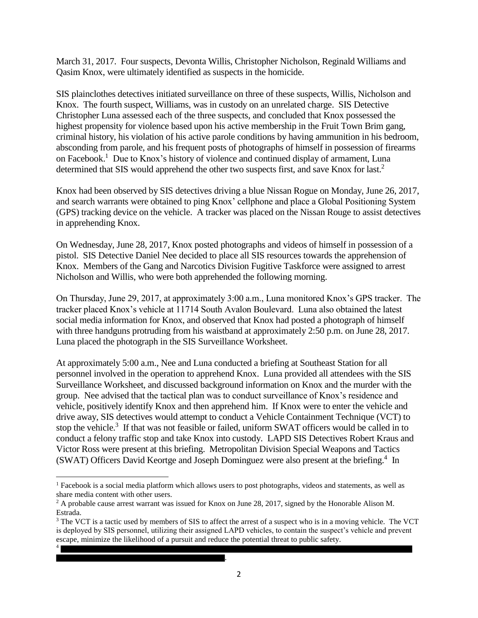March 31, 2017. Four suspects, Devonta Willis, Christopher Nicholson, Reginald Williams and Qasim Knox, were ultimately identified as suspects in the homicide.

SIS plainclothes detectives initiated surveillance on three of these suspects, Willis, Nicholson and Knox. The fourth suspect, Williams, was in custody on an unrelated charge. SIS Detective Christopher Luna assessed each of the three suspects, and concluded that Knox possessed the highest propensity for violence based upon his active membership in the Fruit Town Brim gang, criminal history, his violation of his active parole conditions by having ammunition in his bedroom, absconding from parole, and his frequent posts of photographs of himself in possession of firearms on Facebook.<sup>1</sup> Due to Knox's history of violence and continued display of armament, Luna determined that SIS would apprehend the other two suspects first, and save Knox for last.<sup>2</sup>

Knox had been observed by SIS detectives driving a blue Nissan Rogue on Monday, June 26, 2017, and search warrants were obtained to ping Knox' cellphone and place a Global Positioning System (GPS) tracking device on the vehicle. A tracker was placed on the Nissan Rouge to assist detectives in apprehending Knox.

On Wednesday, June 28, 2017, Knox posted photographs and videos of himself in possession of a pistol. SIS Detective Daniel Nee decided to place all SIS resources towards the apprehension of Knox. Members of the Gang and Narcotics Division Fugitive Taskforce were assigned to arrest Nicholson and Willis, who were both apprehended the following morning.

On Thursday, June 29, 2017, at approximately 3:00 a.m., Luna monitored Knox's GPS tracker. The tracker placed Knox's vehicle at 11714 South Avalon Boulevard. Luna also obtained the latest social media information for Knox, and observed that Knox had posted a photograph of himself with three handguns protruding from his waistband at approximately 2:50 p.m. on June 28, 2017. Luna placed the photograph in the SIS Surveillance Worksheet.

At approximately 5:00 a.m., Nee and Luna conducted a briefing at Southeast Station for all personnel involved in the operation to apprehend Knox. Luna provided all attendees with the SIS Surveillance Worksheet, and discussed background information on Knox and the murder with the group. Nee advised that the tactical plan was to conduct surveillance of Knox's residence and vehicle, positively identify Knox and then apprehend him. If Knox were to enter the vehicle and drive away, SIS detectives would attempt to conduct a Vehicle Containment Technique (VCT) to stop the vehicle.<sup>3</sup> If that was not feasible or failed, uniform SWAT officers would be called in to conduct a felony traffic stop and take Knox into custody. LAPD SIS Detectives Robert Kraus and Victor Ross were present at this briefing. Metropolitan Division Special Weapons and Tactics (SWAT) Officers David Keortge and Joseph Dominguez were also present at the briefing.<sup>4</sup> In

.

 $\overline{\phantom{a}}$ 

4

<sup>1</sup> Facebook is a social media platform which allows users to post photographs, videos and statements, as well as share media content with other users.

 $2$  A probable cause arrest warrant was issued for Knox on June 28, 2017, signed by the Honorable Alison M. Estrada.

<sup>&</sup>lt;sup>3</sup> The VCT is a tactic used by members of SIS to affect the arrest of a suspect who is in a moving vehicle. The VCT is deployed by SIS personnel, utilizing their assigned LAPD vehicles, to contain the suspect's vehicle and prevent escape, minimize the likelihood of a pursuit and reduce the potential threat to public safety.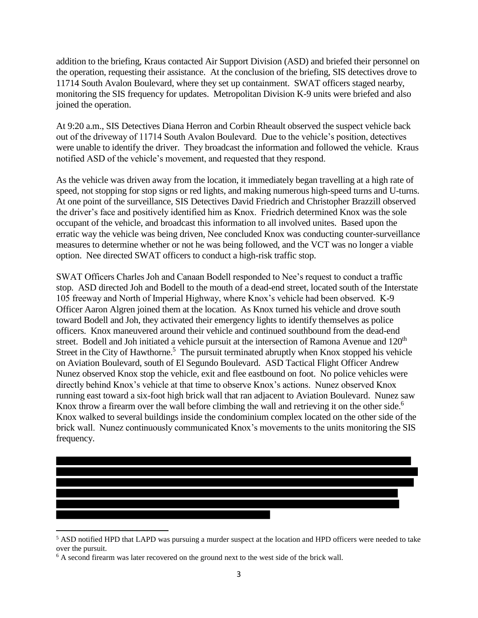addition to the briefing, Kraus contacted Air Support Division (ASD) and briefed their personnel on the operation, requesting their assistance. At the conclusion of the briefing, SIS detectives drove to 11714 South Avalon Boulevard, where they set up containment. SWAT officers staged nearby, monitoring the SIS frequency for updates. Metropolitan Division K-9 units were briefed and also joined the operation.

At 9:20 a.m., SIS Detectives Diana Herron and Corbin Rheault observed the suspect vehicle back out of the driveway of 11714 South Avalon Boulevard. Due to the vehicle's position, detectives were unable to identify the driver. They broadcast the information and followed the vehicle. Kraus notified ASD of the vehicle's movement, and requested that they respond.

As the vehicle was driven away from the location, it immediately began travelling at a high rate of speed, not stopping for stop signs or red lights, and making numerous high-speed turns and U-turns. At one point of the surveillance, SIS Detectives David Friedrich and Christopher Brazzill observed the driver's face and positively identified him as Knox. Friedrich determined Knox was the sole occupant of the vehicle, and broadcast this information to all involved unites. Based upon the erratic way the vehicle was being driven, Nee concluded Knox was conducting counter-surveillance measures to determine whether or not he was being followed, and the VCT was no longer a viable option. Nee directed SWAT officers to conduct a high-risk traffic stop.

SWAT Officers Charles Joh and Canaan Bodell responded to Nee's request to conduct a traffic stop. ASD directed Joh and Bodell to the mouth of a dead-end street, located south of the Interstate 105 freeway and North of Imperial Highway, where Knox's vehicle had been observed. K-9 Officer Aaron Algren joined them at the location. As Knox turned his vehicle and drove south toward Bodell and Joh, they activated their emergency lights to identify themselves as police officers. Knox maneuvered around their vehicle and continued southbound from the dead-end street. Bodell and Joh initiated a vehicle pursuit at the intersection of Ramona Avenue and 120<sup>th</sup> Street in the City of Hawthorne.<sup>5</sup> The pursuit terminated abruptly when Knox stopped his vehicle on Aviation Boulevard, south of El Segundo Boulevard. ASD Tactical Flight Officer Andrew Nunez observed Knox stop the vehicle, exit and flee eastbound on foot. No police vehicles were directly behind Knox's vehicle at that time to observe Knox's actions. Nunez observed Knox running east toward a six-foot high brick wall that ran adjacent to Aviation Boulevard. Nunez saw Knox throw a firearm over the wall before climbing the wall and retrieving it on the other side.<sup>6</sup> Knox walked to several buildings inside the condominium complex located on the other side of the brick wall. Nunez continuously communicated Knox's movements to the units monitoring the SIS frequency.



<sup>5</sup> ASD notified HPD that LAPD was pursuing a murder suspect at the location and HPD officers were needed to take over the pursuit.

 $\overline{\phantom{a}}$ 

<sup>&</sup>lt;sup>6</sup> A second firearm was later recovered on the ground next to the west side of the brick wall.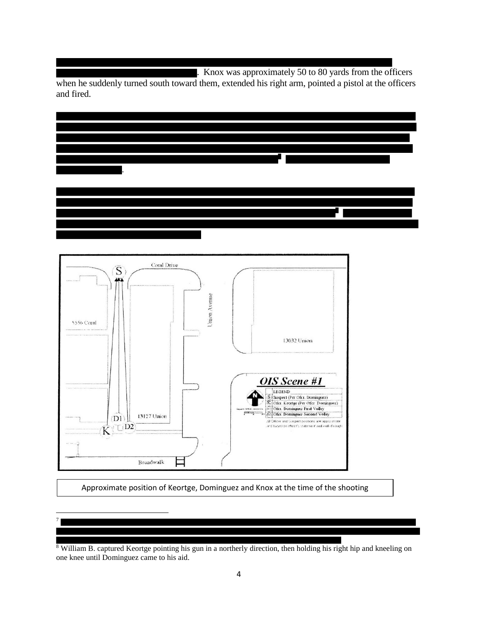. Knox was approximately 50 to 80 yards from the officers

when he suddenly turned south toward them, extended his right arm, pointed a pistol at the officers and fired.





Approximate position of Keortge, Dominguez and Knox at the time of the shooting



 $\overline{a}$ 

<sup>8</sup> William B. captured Keortge pointing his gun in a northerly direction, then holding his right hip and kneeling on one knee until Dominguez came to his aid.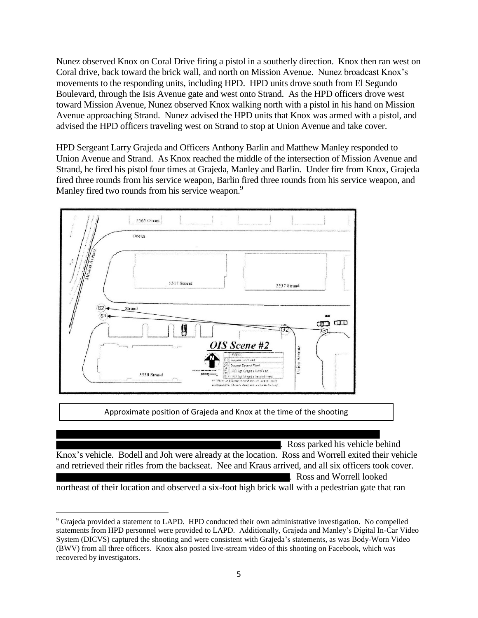Nunez observed Knox on Coral Drive firing a pistol in a southerly direction. Knox then ran west on Coral drive, back toward the brick wall, and north on Mission Avenue. Nunez broadcast Knox's movements to the responding units, including HPD. HPD units drove south from El Segundo Boulevard, through the Isis Avenue gate and west onto Strand. As the HPD officers drove west toward Mission Avenue, Nunez observed Knox walking north with a pistol in his hand on Mission Avenue approaching Strand. Nunez advised the HPD units that Knox was armed with a pistol, and advised the HPD officers traveling west on Strand to stop at Union Avenue and take cover.

HPD Sergeant Larry Grajeda and Officers Anthony Barlin and Matthew Manley responded to Union Avenue and Strand. As Knox reached the middle of the intersection of Mission Avenue and Strand, he fired his pistol four times at Grajeda, Manley and Barlin. Under fire from Knox, Grajeda fired three rounds from his service weapon, Barlin fired three rounds from his service weapon, and Manley fired two rounds from his service weapon.<sup>9</sup>



Approximate position of Grajeda and Knox at the time of the shooting

. Ross parked his vehicle behind

Knox's vehicle. Bodell and Joh were already at the location. Ross and Worrell exited their vehicle and retrieved their rifles from the backseat. Nee and Kraus arrived, and all six officers took cover. . Ross and Worrell looked

northeast of their location and observed a six-foot high brick wall with a pedestrian gate that ran

 $\overline{a}$ 

<sup>9</sup> Grajeda provided a statement to LAPD. HPD conducted their own administrative investigation. No compelled statements from HPD personnel were provided to LAPD. Additionally, Grajeda and Manley's Digital In-Car Video System (DICVS) captured the shooting and were consistent with Grajeda's statements, as was Body-Worn Video (BWV) from all three officers. Knox also posted live-stream video of this shooting on Facebook, which was recovered by investigators.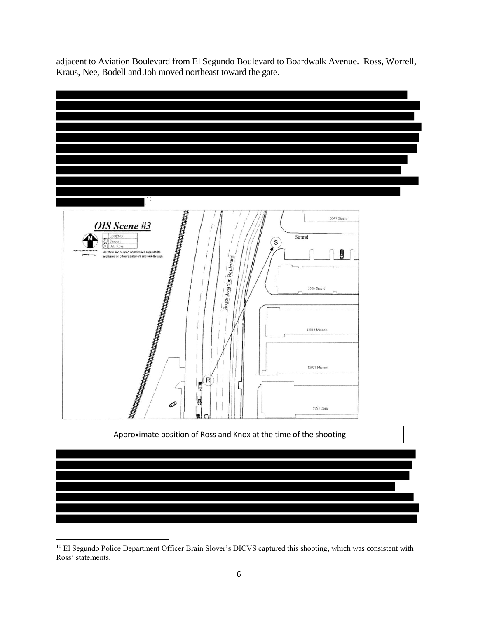adjacent to Aviation Boulevard from El Segundo Boulevard to Boardwalk Avenue. Ross, Worrell, Kraus, Nee, Bodell and Joh moved northeast toward the gate.



<sup>&</sup>lt;sup>10</sup> El Segundo Police Department Officer Brain Slover's DICVS captured this shooting, which was consistent with Ross' statements.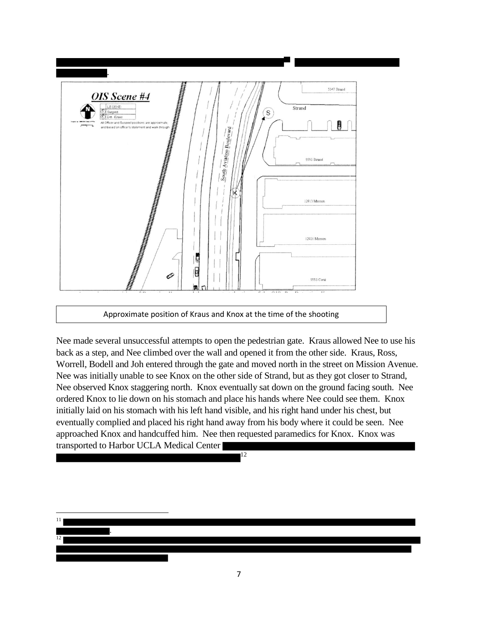

Approximate position of Kraus and Knox at the time of the shooting

Nee made several unsuccessful attempts to open the pedestrian gate. Kraus allowed Nee to use his back as a step, and Nee climbed over the wall and opened it from the other side. Kraus, Ross, Worrell, Bodell and Joh entered through the gate and moved north in the street on Mission Avenue. Nee was initially unable to see Knox on the other side of Strand, but as they got closer to Strand, Nee observed Knox staggering north. Knox eventually sat down on the ground facing south. Nee ordered Knox to lie down on his stomach and place his hands where Nee could see them. Knox initially laid on his stomach with his left hand visible, and his right hand under his chest, but eventually complied and placed his right hand away from his body where it could be seen. Nee approached Knox and handcuffed him. Nee then requested paramedics for Knox. Knox was transported to Harbor UCLA Medical Center

12

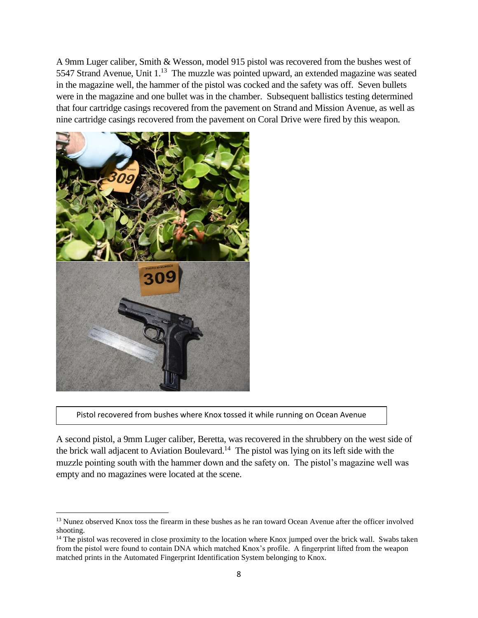A 9mm Luger caliber, Smith & Wesson, model 915 pistol was recovered from the bushes west of 5547 Strand Avenue, Unit  $1<sup>13</sup>$  The muzzle was pointed upward, an extended magazine was seated in the magazine well, the hammer of the pistol was cocked and the safety was off. Seven bullets were in the magazine and one bullet was in the chamber. Subsequent ballistics testing determined that four cartridge casings recovered from the pavement on Strand and Mission Avenue, as well as nine cartridge casings recovered from the pavement on Coral Drive were fired by this weapon.



 $\overline{a}$ 

Pistol recovered from bushes where Knox tossed it while running on Ocean Avenue

A second pistol, a 9mm Luger caliber, Beretta, was recovered in the shrubbery on the west side of the brick wall adjacent to Aviation Boulevard.<sup>14</sup> The pistol was lying on its left side with the muzzle pointing south with the hammer down and the safety on. The pistol's magazine well was empty and no magazines were located at the scene.

<sup>&</sup>lt;sup>13</sup> Nunez observed Knox toss the firearm in these bushes as he ran toward Ocean Avenue after the officer involved shooting.

<sup>&</sup>lt;sup>14</sup> The pistol was recovered in close proximity to the location where Knox jumped over the brick wall. Swabs taken from the pistol were found to contain DNA which matched Knox's profile. A fingerprint lifted from the weapon matched prints in the Automated Fingerprint Identification System belonging to Knox.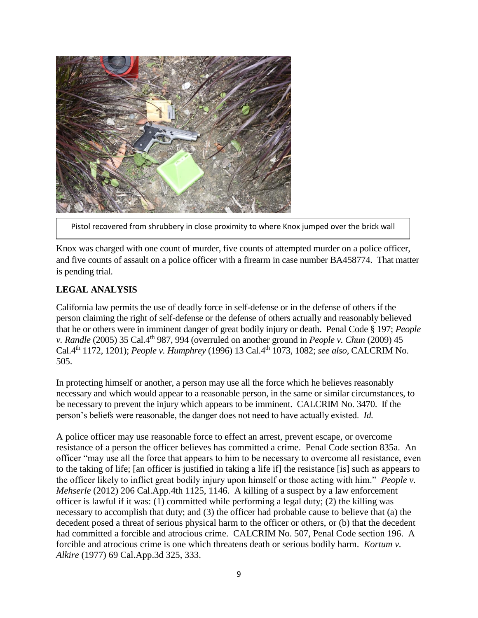

Pistol recovered from shrubbery in close proximity to where Knox jumped over the brick wall

Knox was charged with one count of murder, five counts of attempted murder on a police officer, and five counts of assault on a police officer with a firearm in case number BA458774. That matter is pending trial.

## **LEGAL ANALYSIS**

California law permits the use of deadly force in self-defense or in the defense of others if the person claiming the right of self-defense or the defense of others actually and reasonably believed that he or others were in imminent danger of great bodily injury or death. Penal Code § 197; *People v. Randle* (2005) 35 Cal.4th 987, 994 (overruled on another ground in *People v. Chun* (2009) 45 Cal.4th 1172, 1201); *People v. Humphrey* (1996) 13 Cal.4th 1073, 1082; *see also,* CALCRIM No. 505.

In protecting himself or another, a person may use all the force which he believes reasonably necessary and which would appear to a reasonable person, in the same or similar circumstances, to be necessary to prevent the injury which appears to be imminent. CALCRIM No. 3470. If the person's beliefs were reasonable, the danger does not need to have actually existed. *Id.*

A police officer may use reasonable force to effect an arrest, prevent escape, or overcome resistance of a person the officer believes has committed a crime. Penal Code section 835a. An officer "may use all the force that appears to him to be necessary to overcome all resistance, even to the taking of life; [an officer is justified in taking a life if] the resistance [is] such as appears to the officer likely to inflict great bodily injury upon himself or those acting with him." *People v. Mehserle* (2012) 206 Cal.App.4th 1125, 1146. A killing of a suspect by a law enforcement officer is lawful if it was: (1) committed while performing a legal duty; (2) the killing was necessary to accomplish that duty; and (3) the officer had probable cause to believe that (a) the decedent posed a threat of serious physical harm to the officer or others, or (b) that the decedent had committed a forcible and atrocious crime. CALCRIM No. 507, Penal Code section 196. A forcible and atrocious crime is one which threatens death or serious bodily harm. *Kortum v. Alkire* (1977) 69 Cal.App.3d 325, 333.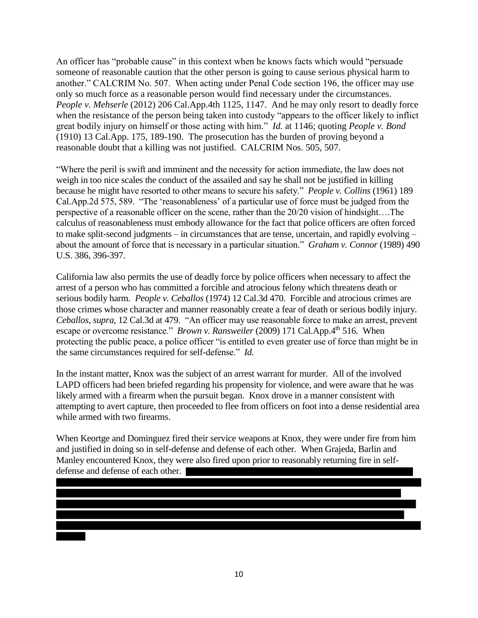An officer has "probable cause" in this context when he knows facts which would "persuade someone of reasonable caution that the other person is going to cause serious physical harm to another." CALCRIM No. 507. When acting under Penal Code section 196, the officer may use only so much force as a reasonable person would find necessary under the circumstances. *People v. Mehserle* (2012) 206 Cal.App.4th 1125, 1147. And he may only resort to deadly force when the resistance of the person being taken into custody "appears to the officer likely to inflict great bodily injury on himself or those acting with him." *Id.* at 1146; quoting *People v. Bond* (1910) 13 Cal.App. 175, 189-190. The prosecution has the burden of proving beyond a reasonable doubt that a killing was not justified. CALCRIM Nos. 505, 507.

"Where the peril is swift and imminent and the necessity for action immediate, the law does not weigh in too nice scales the conduct of the assailed and say he shall not be justified in killing because he might have resorted to other means to secure his safety." *People v. Collins* (1961) 189 Cal.App.2d 575, 589. "The 'reasonableness' of a particular use of force must be judged from the perspective of a reasonable officer on the scene, rather than the 20/20 vision of hindsight….The calculus of reasonableness must embody allowance for the fact that police officers are often forced to make split-second judgments – in circumstances that are tense, uncertain, and rapidly evolving – about the amount of force that is necessary in a particular situation." *Graham v. Connor* (1989) 490 U.S. 386, 396-397.

California law also permits the use of deadly force by police officers when necessary to affect the arrest of a person who has committed a forcible and atrocious felony which threatens death or serious bodily harm. *People v. Ceballos* (1974) 12 Cal.3d 470*.* Forcible and atrocious crimes are those crimes whose character and manner reasonably create a fear of death or serious bodily injury. *Ceballos, supra,* 12 Cal.3d at 479*.* "An officer may use reasonable force to make an arrest, prevent escape or overcome resistance." *Brown v. Ransweiler* (2009) 171 Cal.App.4<sup>th</sup> 516*.* When protecting the public peace, a police officer "is entitled to even greater use of force than might be in the same circumstances required for self-defense." *Id.*

In the instant matter, Knox was the subject of an arrest warrant for murder. All of the involved LAPD officers had been briefed regarding his propensity for violence, and were aware that he was likely armed with a firearm when the pursuit began. Knox drove in a manner consistent with attempting to avert capture, then proceeded to flee from officers on foot into a dense residential area while armed with two firearms.

When Keortge and Dominguez fired their service weapons at Knox, they were under fire from him and justified in doing so in self-defense and defense of each other. When Grajeda, Barlin and Manley encountered Knox, they were also fired upon prior to reasonably returning fire in selfdefense and defense of each other.